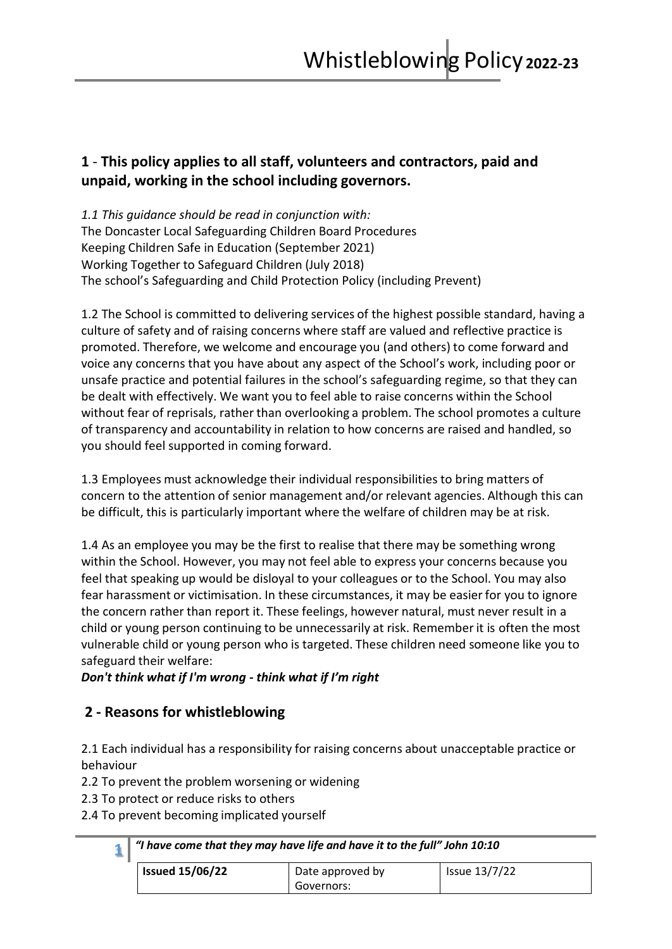## **1** - **This policy applies to all staff, volunteers and contractors, paid and unpaid, working in the school including governors.**

*1.1 This guidance should be read in conjunction with:* The Doncaster Local Safeguarding Children Board Procedures Keeping Children Safe in Education (September 2021) Working Together to Safeguard Children (July 2018) The school's Safeguarding and Child Protection Policy (including Prevent)

1.2 The School is committed to delivering services of the highest possible standard, having a culture of safety and of raising concerns where staff are valued and reflective practice is promoted. Therefore, we welcome and encourage you (and others) to come forward and voice any concerns that you have about any aspect of the School's work, including poor or unsafe practice and potential failures in the school's safeguarding regime, so that they can be dealt with effectively. We want you to feel able to raise concerns within the School without fear of reprisals, rather than overlooking a problem. The school promotes a culture of transparency and accountability in relation to how concerns are raised and handled, so you should feel supported in coming forward.

1.3 Employees must acknowledge their individual responsibilities to bring matters of concern to the attention of senior management and/or relevant agencies. Although this can be difficult, this is particularly important where the welfare of children may be at risk.

1.4 As an employee you may be the first to realise that there may be something wrong within the School. However, you may not feel able to express your concerns because you feel that speaking up would be disloyal to your colleagues or to the School. You may also fear harassment or victimisation. In these circumstances, it may be easier for you to ignore the concern rather than report it. These feelings, however natural, must never result in a child or young person continuing to be unnecessarily at risk. Remember it is often the most vulnerable child or young person who is targeted. These children need someone like you to safeguard their welfare:

*Don't think what if I'm wrong - think what if I'm right*

# **2 - Reasons for whistleblowing**

2.1 Each individual has a responsibility for raising concerns about unacceptable practice or behaviour

2.2 To prevent the problem worsening or widening

2.3 To protect or reduce risks to others

2.4 To prevent becoming implicated yourself

| <b>Issued 15/06/22</b> | Date approved by | Issue 13/7/22 |
|------------------------|------------------|---------------|
|                        | Governors:       |               |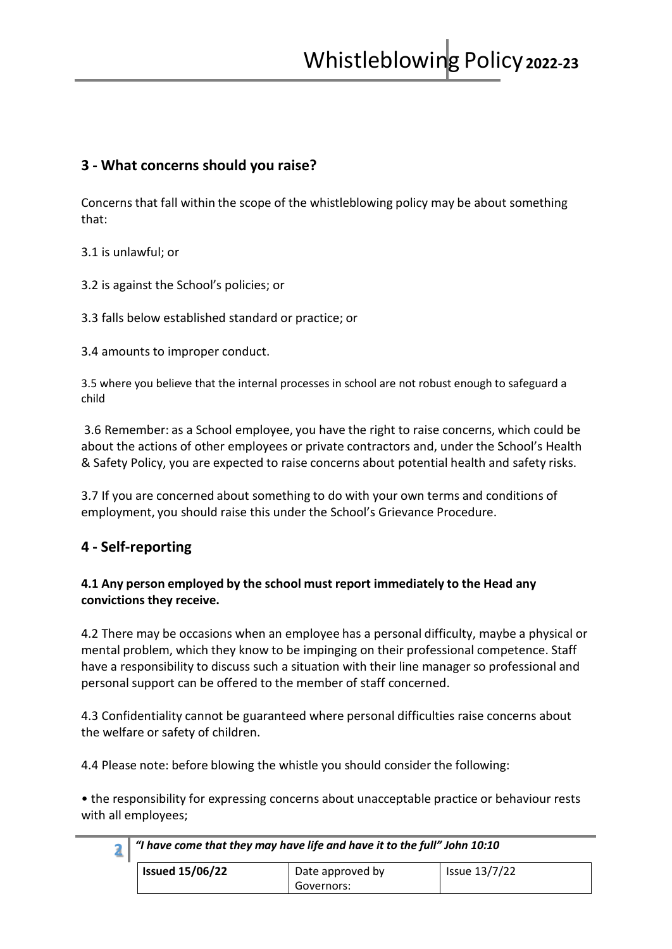### **3 - What concerns should you raise?**

Concerns that fall within the scope of the whistleblowing policy may be about something that:

3.1 is unlawful; or

3.2 is against the School's policies; or

3.3 falls below established standard or practice; or

3.4 amounts to improper conduct.

3.5 where you believe that the internal processes in school are not robust enough to safeguard a child

3.6 Remember: as a School employee, you have the right to raise concerns, which could be about the actions of other employees or private contractors and, under the School's Health & Safety Policy, you are expected to raise concerns about potential health and safety risks.

3.7 If you are concerned about something to do with your own terms and conditions of employment, you should raise this under the School's Grievance Procedure.

### **4 - Self-reporting**

#### **4.1 Any person employed by the school must report immediately to the Head any convictions they receive.**

4.2 There may be occasions when an employee has a personal difficulty, maybe a physical or mental problem, which they know to be impinging on their professional competence. Staff have a responsibility to discuss such a situation with their line manager so professional and personal support can be offered to the member of staff concerned.

4.3 Confidentiality cannot be guaranteed where personal difficulties raise concerns about the welfare or safety of children.

4.4 Please note: before blowing the whistle you should consider the following:

• the responsibility for expressing concerns about unacceptable practice or behaviour rests with all employees;

| "I have come that they may have life and have it to the full" John 10:10 |                  |               |
|--------------------------------------------------------------------------|------------------|---------------|
| <b>Issued 15/06/22</b>                                                   | Date approved by | Issue 13/7/22 |
|                                                                          | Governors:       |               |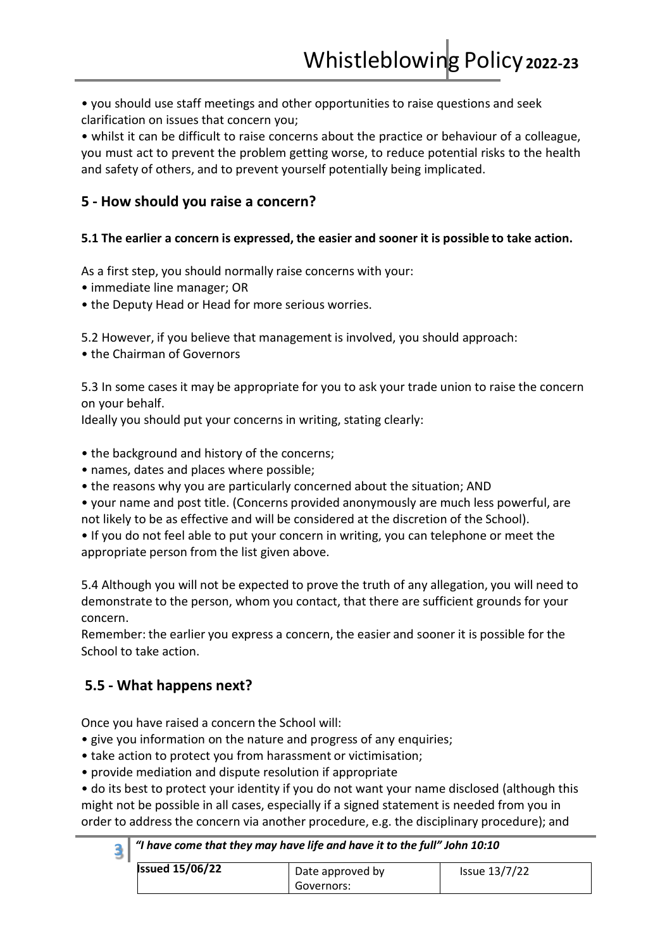• you should use staff meetings and other opportunities to raise questions and seek clarification on issues that concern you;

• whilst it can be difficult to raise concerns about the practice or behaviour of a colleague, you must act to prevent the problem getting worse, to reduce potential risks to the health and safety of others, and to prevent yourself potentially being implicated.

### **5 - How should you raise a concern?**

#### **5.1 The earlier a concern is expressed, the easier and sooner it is possible to take action.**

As a first step, you should normally raise concerns with your:

- immediate line manager; OR
- the Deputy Head or Head for more serious worries.

5.2 However, if you believe that management is involved, you should approach:

• the Chairman of Governors

5.3 In some cases it may be appropriate for you to ask your trade union to raise the concern on your behalf.

Ideally you should put your concerns in writing, stating clearly:

- the background and history of the concerns;
- names, dates and places where possible;
- the reasons why you are particularly concerned about the situation; AND

• your name and post title. (Concerns provided anonymously are much less powerful, are not likely to be as effective and will be considered at the discretion of the School).

• If you do not feel able to put your concern in writing, you can telephone or meet the appropriate person from the list given above.

5.4 Although you will not be expected to prove the truth of any allegation, you will need to demonstrate to the person, whom you contact, that there are sufficient grounds for your concern.

Remember: the earlier you express a concern, the easier and sooner it is possible for the School to take action.

### **5.5 - What happens next?**

Once you have raised a concern the School will:

- give you information on the nature and progress of any enquiries;
- take action to protect you from harassment or victimisation;
- provide mediation and dispute resolution if appropriate

• do its best to protect your identity if you do not want your name disclosed (although this might not be possible in all cases, especially if a signed statement is needed from you in order to address the concern via another procedure, e.g. the disciplinary procedure); and

| $\frac{3}{3}$ $\hspace{0.1cm}$ "I have come that they may have life and have it to the full" John 10:10 |  |
|---------------------------------------------------------------------------------------------------------|--|
|---------------------------------------------------------------------------------------------------------|--|

| <b>Issued 15/06/22</b> | Date approved by | Issue 13/7/22 |
|------------------------|------------------|---------------|
|                        | Governors:       |               |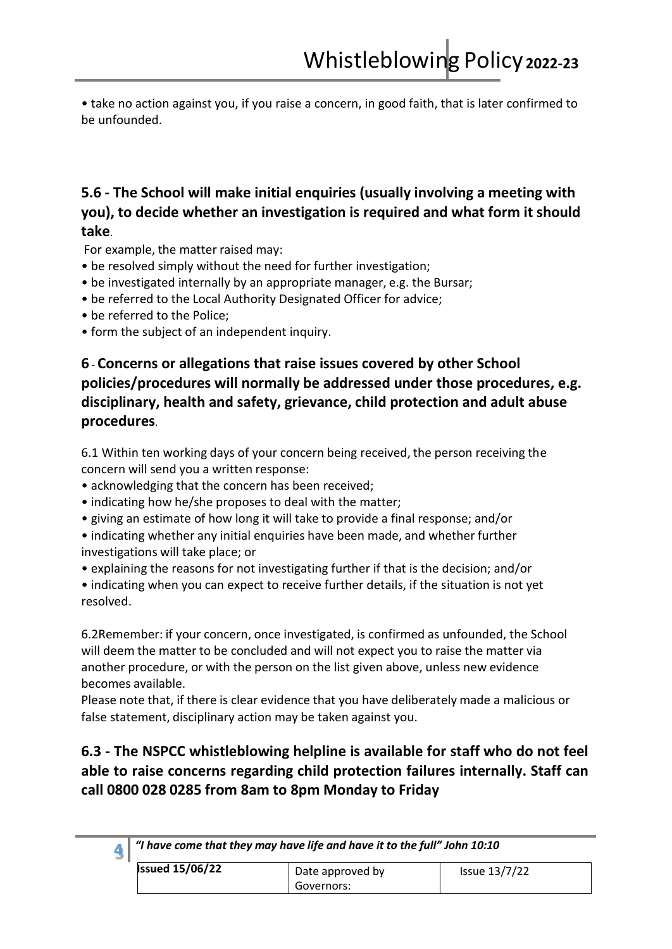• take no action against you, if you raise a concern, in good faith, that is later confirmed to be unfounded.

## **5.6 - The School will make initial enquiries (usually involving a meeting with you), to decide whether an investigation is required and what form it should take**.

For example, the matter raised may:

- be resolved simply without the need for further investigation;
- be investigated internally by an appropriate manager, e.g. the Bursar;
- be referred to the Local Authority Designated Officer for advice;
- be referred to the Police;
- form the subject of an independent inquiry.

# **6** - **Concerns or allegations that raise issues covered by other School policies/procedures will normally be addressed under those procedures, e.g. disciplinary, health and safety, grievance, child protection and adult abuse procedures**.

6.1 Within ten working days of your concern being received, the person receiving the concern will send you a written response:

- acknowledging that the concern has been received;
- indicating how he/she proposes to deal with the matter;
- giving an estimate of how long it will take to provide a final response; and/or
- indicating whether any initial enquiries have been made, and whether further investigations will take place; or
- explaining the reasons for not investigating further if that is the decision; and/or
- indicating when you can expect to receive further details, if the situation is not yet resolved.

6.2Remember: if your concern, once investigated, is confirmed as unfounded, the School will deem the matter to be concluded and will not expect you to raise the matter via another procedure, or with the person on the list given above, unless new evidence becomes available.

Please note that, if there is clear evidence that you have deliberately made a malicious or false statement, disciplinary action may be taken against you.

## **6.3 - The NSPCC whistleblowing helpline is available for staff who do not feel able to raise concerns regarding child protection failures internally. Staff can call 0800 028 0285 from 8am to 8pm Monday to Friday**

| $^{\circ}$ "I have come that they may have life and have it to the full" John 10:10 |                  |                      |
|-------------------------------------------------------------------------------------|------------------|----------------------|
| <b>Issued 15/06/22</b>                                                              | Date approved by | <b>Issue 13/7/22</b> |
|                                                                                     | Governors:       |                      |